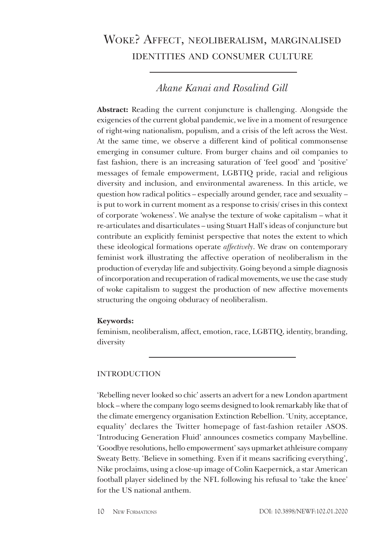# Woke? Affect, neoliberalism, marginalised identities and consumer culture

# *Akane Kanai and Rosalind Gill*

**Abstract:** Reading the current conjuncture is challenging. Alongside the exigencies of the current global pandemic, we live in a moment of resurgence of right-wing nationalism, populism, and a crisis of the left across the West. At the same time, we observe a different kind of political commonsense emerging in consumer culture. From burger chains and oil companies to fast fashion, there is an increasing saturation of 'feel good' and 'positive' messages of female empowerment, LGBTIQ pride, racial and religious diversity and inclusion, and environmental awareness. In this article, we question how radical politics – especially around gender, race and sexuality – is put to work in current moment as a response to crisis/ crises in this context of corporate 'wokeness'. We analyse the texture of woke capitalism – what it re-articulates and disarticulates – using Stuart Hall's ideas of conjuncture but contribute an explicitly feminist perspective that notes the extent to which these ideological formations operate *affectively*. We draw on contemporary feminist work illustrating the affective operation of neoliberalism in the production of everyday life and subjectivity. Going beyond a simple diagnosis of incorporation and recuperation of radical movements, we use the case study of woke capitalism to suggest the production of new affective movements structuring the ongoing obduracy of neoliberalism.

## **Keywords:**

feminism, neoliberalism, affect, emotion, race, LGBTIQ, identity, branding, diversity

# INTRODUCTION

'Rebelling never looked so chic' asserts an advert for a new London apartment block – where the company logo seems designed to look remarkably like that of the climate emergency organisation Extinction Rebellion. 'Unity, acceptance, equality' declares the Twitter homepage of fast-fashion retailer ASOS. 'Introducing Generation Fluid' announces cosmetics company Maybelline. 'Goodbye resolutions, hello empowerment' says upmarket athleisure company Sweaty Betty. 'Believe in something. Even if it means sacrificing everything', Nike proclaims, using a close-up image of Colin Kaepernick, a star American football player sidelined by the NFL following his refusal to 'take the knee' for the US national anthem.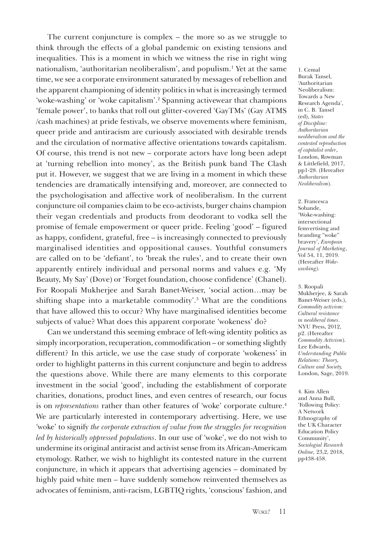The current conjuncture is complex – the more so as we struggle to think through the effects of a global pandemic on existing tensions and inequalities. This is a moment in which we witness the rise in right wing nationalism, 'authoritarian neoliberalism', and populism.1 Yet at the same time, we see a corporate environment saturated by messages of rebellion and the apparent championing of identity politics in what is increasingly termed 'woke-washing' or 'woke capitalism'.2 Spanning activewear that champions 'female power', to banks that roll out glitter-covered 'GayTMs' (Gay ATMS /cash machines) at pride festivals, we observe movements where feminism, queer pride and antiracism are curiously associated with desirable trends and the circulation of normative affective orientations towards capitalism. Of course, this trend is not new – corporate actors have long been adept at 'turning rebellion into money', as the British punk band The Clash put it. However, we suggest that we are living in a moment in which these tendencies are dramatically intensifying and, moreover, are connected to the psychologisation and affective work of neoliberalism. In the current conjuncture oil companies claim to be eco-activists, burger chains champion their vegan credentials and products from deodorant to vodka sell the promise of female empowerment or queer pride. Feeling 'good' – figured as happy, confident, grateful, free – is increasingly connected to previously marginalised identities and oppositional causes. Youthful consumers are called on to be 'defiant', to 'break the rules', and to create their own apparently entirely individual and personal norms and values e.g. 'My Beauty, My Say' (Dove) or 'Forget foundation, choose confidence' (Chanel). For Roopali Mukherjee and Sarah Banet-Weiser, 'social action…may be shifting shape into a marketable commodity'.<sup>3</sup> What are the conditions that have allowed this to occur? Why have marginalised identities become subjects of value? What does this apparent corporate 'wokeness' do?

Can we understand this seeming embrace of left-wing identity politics as simply incorporation, recuperation, commodification – or something slightly different? In this article, we use the case study of corporate 'wokeness' in order to highlight patterns in this current conjuncture and begin to address the questions above. While there are many elements to this corporate investment in the social 'good', including the establishment of corporate charities, donations, product lines, and even centres of research, our focus is on *representations* rather than other features of 'woke' corporate culture.<sup>4</sup> We are particularly interested in contemporary advertising. Here, we use 'woke' to signify *the corporate extraction of value from the struggles for recognition led by historically oppressed populations*. In our use of 'woke', we do not wish to undermine its original antiracist and activist sense from its African-Americam etymology. Rather, we wish to highlight its contested nature in the current conjuncture, in which it appears that advertising agencies – dominated by highly paid white men – have suddenly somehow reinvented themselves as advocates of feminism, anti-racism, LGBTIQ rights, 'conscious' fashion, and

1. Cemal Burak Tansel, 'Authoritarian Neoliberalism: Towards a New Research Agenda', in C. B. Tansel (ed), *States of Discipline: Authoritarian neoliberalism and the contested reproduction of capitalist order*, London, Rowman & Littlefield, 2017, pp1-28. (Hereafter *Authoritarian Neoliberalism*).

2. Francesca Sobande, 'Woke-washing: intersectional femvertising and branding "woke" bravery', *European Journal of Marketing*, Vol 54, 11, 2019. (Hereafter *Wokewashing).*

3. Roopali Mukherjee, & Sarah Banet-Weiser (eds.), *Commodity activism: Cultural resistance in neoliberal times*. NYU Press, 2012, p2. (Hereafter *Commodity Activism*). Lee Edwards, *Understanding Public Relations: Theory, Culture and Society,*  London, Sage, 2019.

4. Kim Allen and Anna Bull, 'Following Policy: A Network Ethnography of the UK Character Education Policy Community', *Sociologial Research Online,* 23,2, 2018, pp438-458.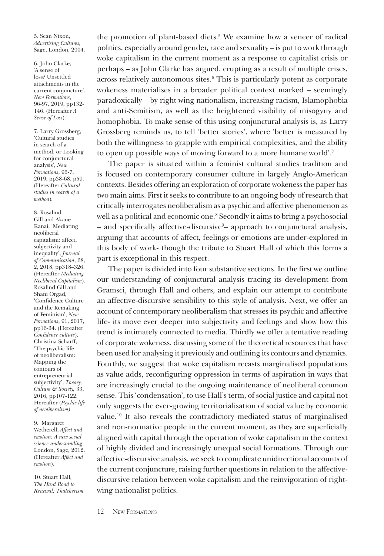5. Sean Nixon, *Advertising Cultures,*  Sage, London, 2004.

6. John Clarke, 'A sense of loss? Unsettled attachments in the current conjuncture', *New Formations*, 96-97, 2019, pp132- 146. (Hereafter *A Sense of Loss*).

7. Larry Grossberg, 'Cultural studies in search of a method, or Looking for conjunctural analysis', *New Formations*, 96-7, 2019, pp38-68, p59. (Hereafter *Cultural studies in search of a method*)*.*

8. Rosalind Gill and Akane Kanai, 'Mediating neoliberal capitalism: affect, subjectivity and inequality', *Journal of Communication*, 68, 2, 2018, pp318–326. (Hereafter *Mediating Neoliberal Capitalism*). Rosalind Gill and Shani Orgad, 'Confidence Culture and the Remaking of Feminism', *New Formations*, 91, 2017, pp16-34. (Hereafter *Confidence culture*). Christina Scharff, 'The psychic life of neoliberalism: Mapping the contours of entrepreneurial subjectivity', *Theory, Culture & Society,* 33, 2016, pp107-122. Hereafter (*Psychic life of neoliberalism)*.

#### 9. Margaret Wetherell, *Affect and emotion: A new social*

*science understanding,* London, Sage, 2012. (Hereafter *Affect and emotion*).

10. Stuart Hall, *The Hard Road to Renewal: Thatcherism* 

the promotion of plant-based diets.<sup>5</sup> We examine how a veneer of radical politics, especially around gender, race and sexuality – is put to work through woke capitalism in the current moment as a response to capitalist crisis or perhaps – as John Clarke has argued, erupting as a result of multiple crises, across relatively autonomous sites.6 This is particularly potent as corporate wokeness materialises in a broader political context marked – seemingly paradoxically – by right wing nationalism, increasing racism, Islamophobia and anti-Semitism, as well as the heightened visibility of misogyny and homophobia. To make sense of this using conjunctural analysis is, as Larry Grossberg reminds us, to tell 'better stories', where 'better is measured by both the willingness to grapple with empirical complexities, and the ability to open up possible ways of moving forward to a more humane world'.7

The paper is situated within a feminist cultural studies tradition and is focused on contemporary consumer culture in largely Anglo-American contexts. Besides offering an exploration of corporate wokeness the paper has two main aims. First it seeks to contribute to an ongoing body of research that critically interrogates neoliberalism as a psychic and affective phenomenon as well as a political and economic one.8 Secondly it aims to bring a psychosocial – and specifically affective-discursive<sup>9</sup>– approach to conjunctural analysis, arguing that accounts of affect, feelings or emotions are under-explored in this body of work- though the tribute to Stuart Hall of which this forms a part is exceptional in this respect.

The paper is divided into four substantive sections. In the first we outline our understanding of conjunctural analysis tracing its development from Gramsci, through Hall and others, and explain our attempt to contribute an affective-discursive sensibility to this style of analysis. Next, we offer an account of contemporary neoliberalism that stresses its psychic and affective life- its move ever deeper into subjectivity and feelings and show how this trend is intimately connected to media. Thirdly we offer a tentative reading of corporate wokeness, discussing some of the theoretical resources that have been used for analysing it previously and outlining its contours and dynamics. Fourthly, we suggest that woke capitalism recasts marginalised populations as value adds, reconfiguring oppression in terms of aspiration in ways that are increasingly crucial to the ongoing maintenance of neoliberal common sense. This 'condensation', to use Hall's term, of social justice and capital not only suggests the ever-growing territorialisation of social value by economic value.10 It also reveals the contradictory mediated status of marginalised and non-normative people in the current moment, as they are superficially aligned with capital through the operation of woke capitalism in the context of highly divided and increasingly unequal social formations. Through our affective-discursive analysis, we seek to complicate unidirectional accounts of the current conjuncture, raising further questions in relation to the affectivediscursive relation between woke capitalism and the reinvigoration of rightwing nationalist politics.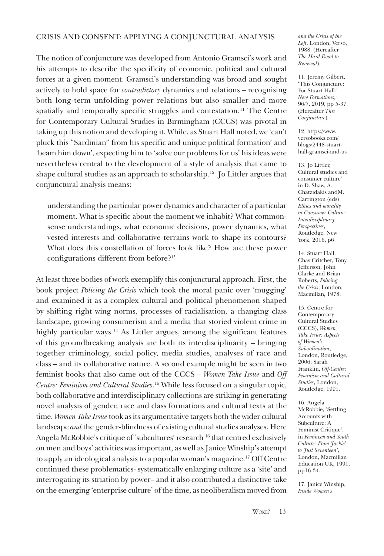### CRISIS AND CONSENT: APPLYING A CONJUNCTURAL ANALYSIS

The notion of conjuncture was developed from Antonio Gramsci's work and his attempts to describe the specificity of economic, political and cultural forces at a given moment. Gramsci's understanding was broad and sought actively to hold space for *contradictory* dynamics and relations – recognising both long-term unfolding power relations but also smaller and more spatially and temporally specific struggles and contestation.<sup>11</sup> The Centre for Contemporary Cultural Studies in Birmingham (CCCS) was pivotal in taking up this notion and developing it. While, as Stuart Hall noted, we 'can't pluck this "Sardinian" from his specific and unique political formation' and 'beam him down', expecting him to 'solve our problems for us' his ideas were nevertheless central to the development of a style of analysis that came to shape cultural studies as an approach to scholarship.<sup>12</sup> Jo Littler argues that conjunctural analysis means:

understanding the particular power dynamics and character of a particular moment. What is specific about the moment we inhabit? What commonsense understandings, what economic decisions, power dynamics, what vested interests and collaborative terrains work to shape its contours? What does this constellation of forces look like? How are these power configurations different from before?<sup>13</sup>

At least three bodies of work exemplify this conjunctural approach. First, the book project *Policing the Crisis* which took the moral panic over 'mugging' and examined it as a complex cultural and political phenomenon shaped by shifting right wing norms, processes of racialisation, a changing class landscape, growing consumerism and a media that storied violent crime in highly particular ways.<sup>14</sup> As Littler argues, among the significant features of this groundbreaking analysis are both its interdisciplinarity – bringing together criminology, social policy, media studies, analyses of race and class – and its collaborative nature. A second example might be seen in two feminist books that also came out of the CCCS – *Women Take Issue* and *Off Centre: Feminism and Cultural Studies*. 15 While less focused on a singular topic, both collaborative and interdisciplinary collections are striking in generating novel analysis of gender, race and class formations and cultural texts at the time. *Women Take Issue* took as its argumentative targets both the wider cultural landscape *and* the gender-blindness of existing cultural studies analyses. Here Angela McRobbie's critique of 'subcultures' research 16 that centred exclusively on men and boys' activities was important, as well as Janice Winship's attempt to apply an ideological analysis to a popular woman's magazine.17 Off Centre continued these problematics- systematically enlarging culture as a 'site' and interrogating its striation by power– and it also contributed a distinctive take on the emerging 'enterprise culture' of the time, as neoliberalism moved from

*and the Crisis of the Left*, London, Verso, 1988. (Hereafter *The Hard Road to Renewal*).

11. Jeremy Gilbert, 'This Conjuncture: For Stuart Hall.' *New Formations*, 96/7, 2019, pp 5-37. (Hereafter *This Conjuncture*)*.* 

12. https://www. versobooks.com/ blogs/2448-stuart[hall-gramsci-and-us](https://www.versobooks.com/blogs/2448-stuart-hall-gramsci-and-us)

13. Jo Littler, Cultural studies and consumer culture' in D. Shaw, A. Chatzidakis andM. Carrington (eds) *Ethics and morality in Consumer Culture: Interdisciplinary Perspectives*, Routledge, New York, 2016, p6

14. Stuart Hall, Chas Critcher, Tony Jefferson, John Clarke and Brian Roberts, *Policing the Crisis*, London, Macmillan, 1978.

15. Centre for Contemporary Cultural Studies (CCCS), *Women Take Issue: Aspects of Women's Subordination*, London, Routledge, 2006; Sarah Franklin, *Off-Centre: Feminism and Cultural Studies*, London, Routledge, 1991.

16. Angela McRobbie, 'Settling Accounts with Subculture: A Feminist Critique', in *Feminism and Youth Culture: From 'Jackie' to 'Just Seventeen'*, London, Macmillan Education UK, 1991, pp16-34.

17. Janice Winship, *Inside Women's*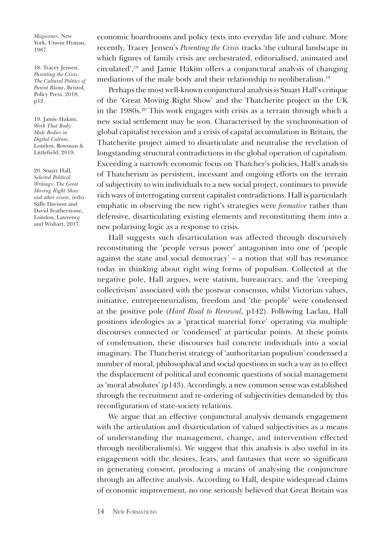*Magazines*, New York, Unwin Hyman, 1987.

18. Tracey Jensen, *Parenting the Crisis*: *The Cultural Politics of Parent Blame*, Bristol, Policy Press, 2018, p12.

19. Jamie Hakim, *Work That Body: Male Bodies in Digital Culture,*  London, Rowman & Littlefield, 2019.

20. Stuart Hall*, Selected Political Writings: The Great Moving Right Show and other essays*, (eds) Sally Davison and David Featherstone, London, Lawrence and Wishart, 2017.

economic boardrooms and policy texts into everyday life and culture. More recently, Tracey Jensen's *Parenting the Crisis* tracks 'the cultural landscape in which figures of family crisis are orchestrated, editorialised, animated and circulated',18 and Jamie Hakim offers a conjunctural analysis of changing mediations of the male body and their relationship to neoliberalism.19

Perhaps the most well-known conjunctural analysis is Stuart Hall's critique of the 'Great Moving Right Show' and the Thatcherite project in the UK in the 1980s.20 This work engages with crisis as a terrain through which a new social settlement may be won. Characterised by the synchronisation of global capitalist recession and a crisis of capital accumulation in Britain, the Thatcherite project aimed to disarticulate and neutralise the revelation of longstanding structural contradictions in the global operation of capitalism. Exceeding a narrowly economic focus on Thatcher's policies, Hall's analysis of Thatcherism as persistent, incessant and ongoing efforts on the terrain of subjectivity to win individuals to a new social project, continues to provide rich ways of interrogating current capitalist contradictions. Hall is particularly emphatic in observing the new right's strategies were *formative* rather than defensive, disarticulating existing elements and reconstituting them into a new polarising logic as a response to crisis.

Hall suggests such disarticulation was affected through discursively reconstituting the 'people versus power' antagonism into one of 'people against the state and social democracy' – a notion that still has resonance today in thinking about right wing forms of populism. Collected at the negative pole, Hall argues, were statism, bureaucracy, and the 'creeping collectivism' associated with the postwar consensus, whilst Victorian values, initiative, entrepreneurialism, freedom and 'the people' were condensed at the positive pole (*Hard Road to Renewal,* p142). Following Laclau, Hall positions ideologies as a 'practical material force' operating via multiple discourses connected or 'condensed' at particular points. At these points of condensation, these discourses hail concrete individuals into a social imaginary. The Thatcherist strategy of 'authoritarian populism' condensed a number of moral, philosophical and social questions in such a way as to effect the displacement of political and economic questions of social management as 'moral absolutes' (p143). Accordingly, a new common sense was established through the recruitment and re-ordering of subjectivities demanded by this reconfiguration of state-society relations.

We argue that an effective conjunctural analysis demands engagement with the articulation and disarticulation of valued subjectivities as a means of understanding the management, change, and intervention effected through neoliberalism(s). We suggest that this analysis is also useful in its engagement with the desires, fears, and fantasies that were so significant in generating consent, producing a means of analysing the conjuncture through an affective analysis. According to Hall, despite widespread claims of economic improvement, no one seriously believed that Great Britain was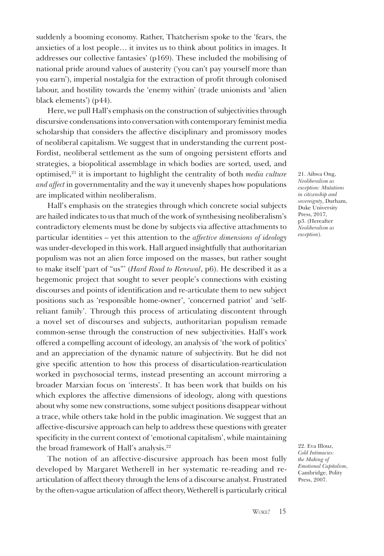suddenly a booming economy. Rather, Thatcherism spoke to the 'fears, the anxieties of a lost people… it invites us to think about politics in images. It addresses our collective fantasies' (p169). These included the mobilising of national pride around values of austerity ('you can't pay yourself more than you earn'), imperial nostalgia for the extraction of profit through colonised labour, and hostility towards the 'enemy within' (trade unionists and 'alien black elements') (p44).

Here, we pull Hall's emphasis on the construction of subjectivities through discursive condensations into conversation with contemporary feminist media scholarship that considers the affective disciplinary and promissory modes of neoliberal capitalism. We suggest that in understanding the current post-Fordist, neoliberal settlement as the sum of ongoing persistent efforts and strategies, a biopolitical assemblage in which bodies are sorted, used, and optimised,21 it is important to highlight the centrality of both *media culture and affect* in governmentality and the way it unevenly shapes how populations are implicated within neoliberalism.

Hall's emphasis on the strategies through which concrete social subjects are hailed indicates to us that much of the work of synthesising neoliberalism's contradictory elements must be done by subjects via affective attachments to particular identities – yet this attention to the *affective dimensions of ideology* was under-developed in this work. Hall argued insightfully that authoritarian populism was not an alien force imposed on the masses, but rather sought to make itself 'part of "us"' (*Hard Road to Renewal*, p6). He described it as a hegemonic project that sought to sever people's connections with existing discourses and points of identification and re-articulate them to new subject positions such as 'responsible home-owner', 'concerned patriot' and 'selfreliant family'. Through this process of articulating discontent through a novel set of discourses and subjects, authoritarian populism remade common-sense through the construction of new subjectivities. Hall's work offered a compelling account of ideology, an analysis of 'the work of politics' and an appreciation of the dynamic nature of subjectivity. But he did not give specific attention to how this process of disarticulation-rearticulation worked in psychosocial terms, instead presenting an account mirroring a broader Marxian focus on 'interests'. It has been work that builds on his which explores the affective dimensions of ideology, along with questions about why some new constructions, some subject positions disappear without a trace, while others take hold in the public imagination. We suggest that an affective-discursive approach can help to address these questions with greater specificity in the current context of 'emotional capitalism', while maintaining the broad framework of Hall's analysis.<sup>22</sup>

The notion of an affective-discursive approach has been most fully developed by Margaret Wetherell in her systematic re-reading and rearticulation of affect theory through the lens of a discourse analyst. Frustrated by the often-vague articulation of affect theory, Wetherell is particularly critical

21. Aihwa Ong, *Neoliberalism as exception: Mutations in citizenship and sovereignty*, Durham, Duke University Press, 2017, p3. (Hereafter *Neoliberalism as exception*).

22. Eva Illouz, *Cold Intimacies: the Making of Emotional Capitalism*, Cambridge, Polity Press, 2007.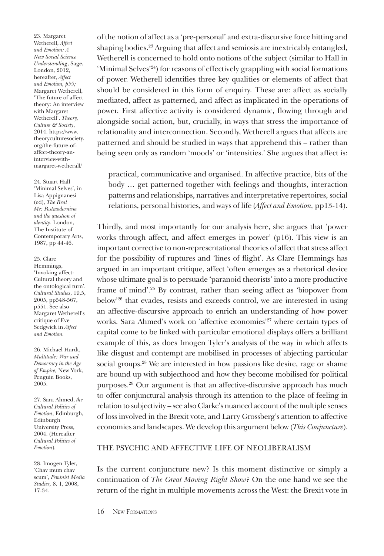23. Margaret Wetherell, *Affect and Emotion: A New Social Science Understanding*, Sage, London, 2012, hereafter, *Affect and Emotion, p59;*  Margaret Wetherell, 'The future of affect theory: An interview with Margaret Wetherell'. *Theory, Culture & Society*, 2014. https://www. [theoryculturesociety.](https://www.theoryculturesociety.org/blog/the-future-of-affect-theory-an-interview-with-margaret-wetherell) org/the-future-ofaffect-theory-aninterview-withmargaret-wetherall/

24. Stuart Hall 'Minimal Selves', in Lisa Appignanesi (ed), *The Real Me: Postmodernism and the question of identity*. London, The Institute of Contemporary Arts, 1987, pp 44-46.

25. Clare Hemmings, 'Invoking affect: Cultural theory and the ontological turn'. *Cultural Studies*, 19,5, 2005, pp548-567, p551. See also Margaret Wetherell's critique of Eve Sedgwick in *Affect and Emotion.* 

26. Michael Hardt, *Multitude: War and Democracy in the Age of Empire,* New York, Penguin Books, 2005.

27. Sara Ahmed, *the Cultural Politics of Emotion*, Edinburgh, Edinburgh University Press, 2004. (Hereafter *Cultural Politics of Emotion*)*.*

28. Imogen Tyler, 'Chav mum chav scum', *Feminist Media Studies,* 8, 1, 2008, 17-34.

of the notion of affect as a 'pre-personal' and extra-discursive force hitting and shaping bodies.23 Arguing that affect and semiosis are inextricably entangled, Wetherell is concerned to hold onto notions of the subject (similar to Hall in 'Minimal Selves'24) for reasons of effectively grappling with social formations of power. Wetherell identifies three key qualities or elements of affect that should be considered in this form of enquiry. These are: affect as socially mediated, affect as patterned, and affect as implicated in the operations of power. First affective activity is considered dynamic, flowing through and alongside social action, but, crucially, in ways that stress the importance of relationality and interconnection. Secondly, Wetherell argues that affects are patterned and should be studied in ways that apprehend this – rather than being seen only as random 'moods' or 'intensities.' She argues that affect is:

practical, communicative and organised. In affective practice, bits of the body … get patterned together with feelings and thoughts, interaction patterns and relationships, narratives and interpretative repertoires, social relations, personal histories, and ways of life (*Affect and Emotion,* pp13-14).

Thirdly, and most importantly for our analysis here, she argues that 'power works through affect, and affect emerges in power' (p16). This view is an important corrective to non-representational theories of affect that stress affect for the possibility of ruptures and 'lines of flight'. As Clare Hemmings has argued in an important critique, affect 'often emerges as a rhetorical device whose ultimate goal is to persuade 'paranoid theorists' into a more productive frame of mind'.25 By contrast, rather than seeing affect as 'biopower from below'26 that evades, resists and exceeds control, we are interested in using an affective-discursive approach to enrich an understanding of how power works. Sara Ahmed's work on 'affective economies'<sup>27</sup> where certain types of capital come to be linked with particular emotional displays offers a brilliant example of this, as does Imogen Tyler's analysis of the way in which affects like disgust and contempt are mobilised in processes of abjecting particular social groups.28 We are interested in how passions like desire, rage or shame are bound up with subjecthood and how they become mobilised for political purposes.29 Our argument is that an affective-discursive approach has much to offer conjunctural analysis through its attention to the place of feeling in relation to subjectivity – see also Clarke's nuanced account of the multiple senses of loss involved in the Brexit vote, and Larry Grossberg's attention to affective economies and landscapes. We develop this argument below (*This Conjuncture*).

#### THE PSYCHIC AND AFFECTIVE LIFE OF NEOLIBERALISM

Is the current conjuncture new? Is this moment distinctive or simply a continuation of *The Great Moving Right Show*? On the one hand we see the return of the right in multiple movements across the West: the Brexit vote in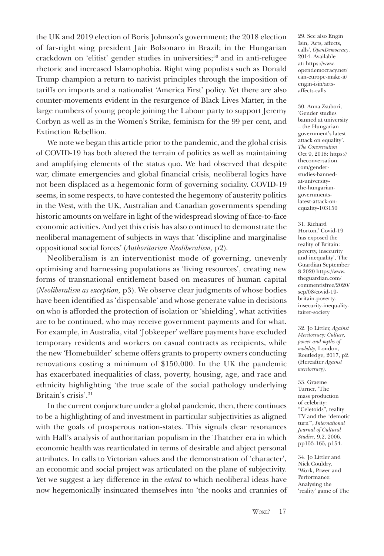the UK and 2019 election of Boris Johnson's government; the 2018 election of far-right wing president Jair Bolsonaro in Brazil; in the Hungarian crackdown on 'elitist' gender studies in universities;<sup>30</sup> and in anti-refugee rhetoric and increased Islamophobia. Right wing populists such as Donald Trump champion a return to nativist principles through the imposition of tariffs on imports and a nationalist 'America First' policy. Yet there are also counter-movements evident in the resurgence of Black Lives Matter, in the large numbers of young people joining the Labour party to support Jeremy Corbyn as well as in the Women's Strike, feminism for the 99 per cent, and Extinction Rebellion.

We note we began this article prior to the pandemic, and the global crisis of COVID-19 has both altered the terrain of politics as well as maintaining and amplifying elements of the status quo. We had observed that despite war, climate emergencies and global financial crisis, neoliberal logics have not been displaced as a hegemonic form of governing sociality. COVID-19 seems, in some respects, to have contested the hegemony of austerity politics in the West, with the UK, Australian and Canadian governments spending historic amounts on welfare in light of the widespread slowing of face-to-face economic activities. And yet this crisis has also continued to demonstrate the neoliberal management of subjects in ways that 'discipline and marginalise oppositional social forces' (*Authoritarian Neoliberalism,* p2).

Neoliberalism is an interventionist mode of governing, unevenly optimising and harnessing populations as 'living resources', creating new forms of transnational entitlement based on measures of human capital (*Neoliberalism as exception,* p3). We observe clear judgments of whose bodies have been identified as 'dispensable' and whose generate value in decisions on who is afforded the protection of isolation or 'shielding', what activities are to be continued, who may receive government payments and for what. For example, in Australia, vital 'Jobkeeper' welfare payments have excluded temporary residents and workers on casual contracts as recipients, while the new 'Homebuilder' scheme offers grants to property owners conducting renovations costing a minimum of \$150,000. In the UK the pandemic has exacerbated inequalities of class, poverty, housing, age, and race and ethnicity highlighting 'the true scale of the social pathology underlying Britain's crisis'.31

In the current conjuncture under a global pandemic, then, there continues to be a highlighting of and investment in particular subjectivities as aligned with the goals of prosperous nation-states. This signals clear resonances with Hall's analysis of authoritarian populism in the Thatcher era in which economic health was rearticulated in terms of desirable and abject personal attributes. In calls to Victorian values and the demonstration of 'character', an economic and social project was articulated on the plane of subjectivity. Yet we suggest a key difference in the *extent* to which neoliberal ideas have now hegemonically insinuated themselves into 'the nooks and crannies of 29. See also Engin Isin, 'Acts, affects, calls', *OpenDemocracy*. 2014. Available at: https://www. [opendemocracy.net/](https://www.opendemocracy.net/en/can-europe-make-it/acts-affects-calls/) can-europe-make-it/ engin-isin/actsaffects-calls

30. Anna Zsubori, 'Gender studies banned at university – the Hungarian government's latest attack on equality'. *The Conversation*  [Oct 9, 2018: https://](https://theconversation.com/gender-studies-banned-at-university-the-hungarian-governments-latest-attack-on-equality-103150) theconversation. com/genderstudies-bannedat-universitythe-hungariangovernmentslatest-attack-onequality-103150

31. Richard Horton,' Covid-19 has exposed the reality of Britain: poverty, insecurity and inequality', The Guardian September 8 2020 https://www. theguardian.com/ [commentisfree/2020/](https://www.theguardian.com/commentisfree/2020/sep/08/covid-19-britain-poverty-insecurity-inequality-fairer-society) sep/08/covid-19 britain-povertyinsecurity-inequalityfairer-society

32. Jo Littler, *Against Meritocracy: Culture, power and myths of mobility,* London, Routledge, 2017, p2. (Hereafter *Against meritocracy).*

33. Graeme Turner, 'The mass production of celebrity: "Celetoids", reality TV and the "demotic turn"', *International Journal of Cultural Studies,* 9,2, 2006, pp153-165, p154.

34. Jo Littler and Nick Couldry, 'Work, Power and Performance: Analysing the 'reality' game of The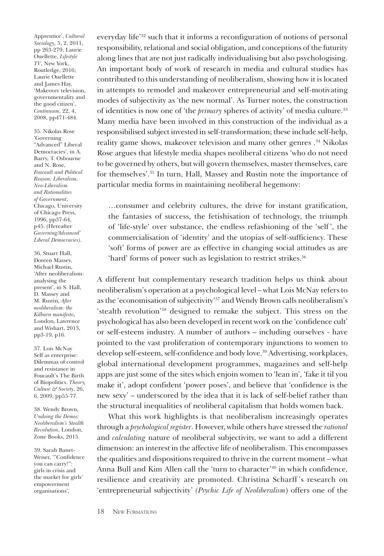Apprentice', *Cultural Sociology*, 5, 2, 2011, pp 263-279; Laurie Ouellette, *Lifestyle TV*, New York, Routledge, 2016; Laurie Ouellette and James Hay, 'Makeover television, governmentality and the good citizen', *Continuum*, 22, 4, 2008, pp471-484.

35. Nikolas Rose 'Governing "Advanced" Liberal Democracies', in A. Barry, T. Osbourne and N. Rose, *Foucault and Political Reason: Liberalism, Neo-Liberalism and Rationalities of Government*, Chicago, University of Chicago Press, 1996, pp37-64, p45. (Hereafter *Governing'Advanced' Liberal Democracies)*.

36. Stuart Hall, Doreen Massey, Michael Rustin, 'After neoliberalism: analysing the present', in S. Hall, D. Massey and M. Rustin, *After neoliberalism: the Kilburn manifesto*, London, Lawrence and Wishart, 2013, pp3-19, p16.

37. Lois McNay Self as enterprise: Dilemmas of control and resistance in Foucault's The Birth of Biopolitics. *Theory, Culture & Society*, 26, 6, 2009, pp55-77.

38. Wendy Brown, *Undoing the Demos: Neoliberalism's Stealth Revolution*, London, Zone Books, 2015.

39. Sarah Banet-Weiser, '"Confidence you can carry!": girls in crisis and the market for girls' empowerment organisations',

everyday life'32 such that it informs a reconfiguration of notions of personal responsibility, relational and social obligation, and conceptions of the futurity along lines that are not just radically individualising but also psychologising. An important body of work of research in media and cultural studies has contributed to this understanding of neoliberalism, showing how it is located in attempts to remodel and makeover entrepreneurial and self-motivating modes of subjectivity as 'the new normal'. As Turner notes, the construction of identities is now one of 'the *primary* spheres of activity' of media culture.<sup>33</sup> Many media have been involved in this construction of the individual as a responsibilised subject invested in self-transformation; these include self-help, reality game shows, makeover television and many other genres .34 Nikolas Rose argues that lifestyle media shapes neoliberal citizens 'who do not need to be governed by others, but will govern themselves, master themselves, care for themselves'.35 In turn, Hall, Massey and Rustin note the importance of particular media forms in maintaining neoliberal hegemony:

…consumer and celebrity cultures, the drive for instant gratification, the fantasies of success, the fetishisation of technology, the triumph of 'life-style' over substance, the endless refashioning of the 'self ', the commercialisation of 'identity' and the utopias of self-sufficiency. These 'soft' forms of power are as effective in changing social attitudes as are 'hard' forms of power such as legislation to restrict strikes.<sup>36</sup>

A different but complementary research tradition helps us think about neoliberalism's operation at a psychological level – what Lois McNay refers to as the 'economisation of subjectivity'37 and Wendy Brown calls neoliberalism's 'stealth revolution'38 designed to remake the subject. This stress on the psychological has also been developed in recent work on the 'confidence cult' or self-esteem industry. A number of authors – including ourselves - have pointed to the vast proliferation of contemporary injunctions to women to develop self-esteem, self-confidence and body love.39 Advertising, workplaces, global international development programmes, magazines and self-help apps are just some of the sites which enjoin women to 'lean in', 'fake it til you make it', adopt confident 'power poses', and believe that 'confidence is the new sexy' – underscored by the idea that it is lack of self-belief rather than the structural inequalities of neoliberal capitalism that holds women back.

What this work highlights is that neoliberalism increasingly operates through a *psychological register*. However, while others have stressed the *rational* and *calculating* nature of neoliberal subjectivity, we want to add a different dimension: an interest in the affective life of neoliberalism. This encompasses the qualities and dispositions required to thrive in the current moment – what Anna Bull and Kim Allen call the 'turn to character'<sup>40</sup> in which confidence, resilience and creativity are promoted. Christina Scharff 's research on 'entrepreneurial subjectivity' *(Psychic Life of Neoliberalism*) offers one of the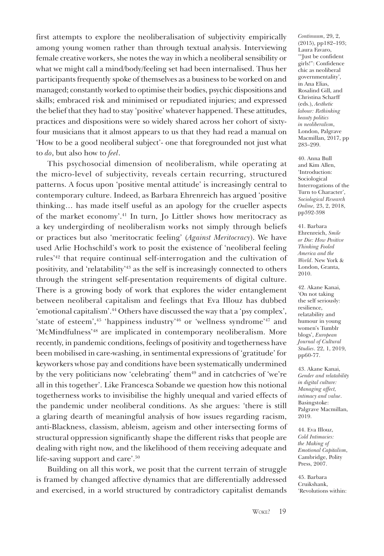first attempts to explore the neoliberalisation of subjectivity empirically among young women rather than through textual analysis. Interviewing female creative workers, she notes the way in which a neoliberal sensibility or what we might call a mind/body/feeling set had been internalised. Thus her participants frequently spoke of themselves as a business to be worked on and managed; constantly worked to optimise their bodies, psychic dispositions and skills; embraced risk and minimised or repudiated injuries; and expressed the belief that they had to stay 'positive' whatever happened. These attitudes, practices and dispositions were so widely shared across her cohort of sixtyfour musicians that it almost appears to us that they had read a manual on 'How to be a good neoliberal subject'- one that foregrounded not just what to *do*, but also how to *feel*.

This psychosocial dimension of neoliberalism, while operating at the micro-level of subjectivity, reveals certain recurring, structured patterns. A focus upon 'positive mental attitude' is increasingly central to contemporary culture. Indeed, as Barbara Ehrenreich has argued 'positive thinking… has made itself useful as an apology for the crueller aspects of the market economy'.41 In turn, Jo Littler shows how meritocracy as a key undergirding of neoliberalism works not simply through beliefs or practices but also 'meritocratic feeling' (*Against Meritocracy*). We have used Arlie Hochschild's work to posit the existence of 'neoliberal feeling rules'42 that require continual self-interrogation and the cultivation of positivity, and 'relatability'43 as the self is increasingly connected to others through the stringent self-presentation requirements of digital culture. There is a growing body of work that explores the wider entanglement between neoliberal capitalism and feelings that Eva Illouz has dubbed 'emotional capitalism'.<sup>44</sup> Others have discussed the way that a 'psy complex', 'state of esteem',45 'happiness industry'46 or 'wellness syndrome'47 and 'McMindfulness'<sup>48</sup> are implicated in contemporary neoliberalism. More recently, in pandemic conditions, feelings of positivity and togetherness have been mobilised in care-washing, in sentimental expressions of 'gratitude' for keyworkers whose pay and conditions have been systematically undermined by the very politicians now 'celebrating' them<sup>49</sup> and in catchcries of 'we're all in this together'. Like Francesca Sobande we question how this notional togetherness works to invisibilise the highly unequal and varied effects of the pandemic under neoliberal conditions. As she argues: 'there is still a glaring dearth of meaningful analysis of how issues regarding racism, anti-Blackness, classism, ableism, ageism and other intersecting forms of structural oppression significantly shape the different risks that people are dealing with right now, and the likelihood of them receiving adequate and life-saving support and care'.50

Building on all this work, we posit that the current terrain of struggle is framed by changed affective dynamics that are differentially addressed and exercised, in a world structured by contradictory capitalist demands *Continuum*, 29, 2, (2015), pp182–193; Laura Favaro, '"Just be confident girls!": Confidence chic as neoliberal governmentality', in Ana Elias, Rosalind Gill, and Christina Scharff (eds.), *Aesthetic labour: Rethinking beauty politics in neoliberalism*, London, Palgrave Macmillan, 2017, pp 283–299.

40. Anna Bull and Kim Allen, 'Introduction: Sociological Interrogations of the Turn to Character', *Sociological Research Online,* 23, 2, 2018, pp392-398

41. Barbara Ehrenreich, *Smile or Die: How Positive Thinking Fooled America and the World*. New York & London, Granta, 2010.

42. Akane Kanai, 'On not taking the self seriously: resilience, relatability and humour in young women's Tumblr blogs', *European Journal of Cultural Studies*. 22, 1, 2019, pp60-77.

43. Akane Kanai, *Gender and relatability in digital culture: Managing affect, intimacy and value*. Basingstoke: Palgrave Macmillan, 2019.

44. Eva Illouz, *Cold Intimacies: the Making of Emotional Capitalism*, Cambridge, Polity Press, 2007.

45. Barbara Cruikshank, 'Revolutions within: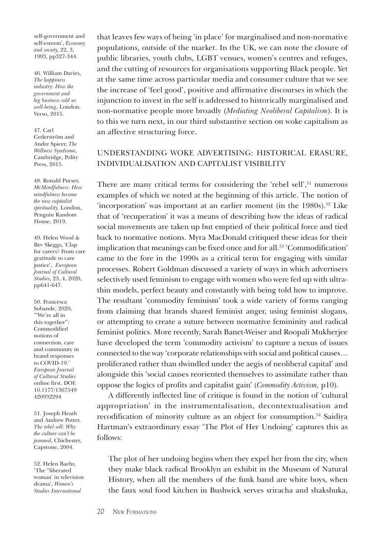self-government and self-esteem', *Economy and society,* 22, 3, 1993, pp327-344.

46. William Davies, *The happiness industry: How the government and big business sold us well-being*, London, Verso, 2015.

47. Carl Cederström and Andre Spicer, *The Wellness Syndrome*, Cambridge, Polity Press, 2015.

48. Ronald Purser, *McMindfulness: How mindfulness became the new capitalist spirituality.* London, Penguin Random House, 2019.

49. Helen Wood & Bev Skeggs, 'Clap for carers? From care gratitude to care justice', *European Journal of Cultural Studies*, 23, 4, 2020, pp641-647.

50. Francesca Sobande, 2020, '"We're all in this together": Commodified notions of connection, care and community in brand responses to COVID-19.' *European Journal of Cultural Studies*  online first. DOI: [10.1177/1367549](https://journals.sagepub.com/doi/10.1177/1367549420932294)  420932294

51. Joseph Heath and Andrew Potter, *The rebel sell: Why the culture can't be jammed,* Chichester, Capstone, 2004.

52. Helen Baehr, 'The "liberated woman' in television drama', *Women's Studies International* 

that leaves few ways of being 'in place' for marginalised and non-normative populations, outside of the market. In the UK, we can note the closure of public libraries, youth clubs, LGBT venues, women's centres and refuges, and the cutting of resources for organisations supporting Black people. Yet at the same time across particular media and consumer culture that we see the increase of 'feel good', positive and affirmative discourses in which the injunction to invest in the self is addressed to historically marginalised and non-normative people more broadly (*Mediating Neoliberal Capitalism*). It is to this we turn next, in our third substantive section on woke capitalism as an affective structuring force.

# UNDERSTANDING WOKE ADVERTISING: HISTORICAL ERASURE, INDIVIDUALISATION AND CAPITALIST VISIBILITY

There are many critical terms for considering the 'rebel sell',<sup>51</sup> numerous examples of which we noted at the beginning of this article. The notion of 'incorporation' was important at an earlier moment (in the 1980s).<sup>52</sup> Like that of 'recuperation' it was a means of describing how the ideas of radical social movements are taken up but emptied of their political force and tied back to normative notions. Myra MacDonald critiqued these ideas for their implication that meanings can be fixed once and for all.<sup>53</sup> 'Commodification' came to the fore in the 1990s as a critical term for engaging with similar processes. Robert Goldman discussed a variety of ways in which advertisers selectively used feminism to engage with women who were fed up with ultrathin models, perfect beauty and constantly with being told how to improve. The resultant 'commodity feminism' took a wide variety of forms ranging from claiming that brands shared feminist anger, using feminist slogans, or attempting to create a suture between normative femininity and radical feminist politics. More recently, Sarah Banet-Weiser and Roopali Mukherjee have developed the term 'commodity activism' to capture a nexus of issues connected to the way 'corporate relationships with social and political causes… proliferated rather than dwindled under the aegis of neoliberal capital' and alongside this 'social causes reoriented themselves to assimilate rather than oppose the logics of profits and capitalist gain' (*Commodity Activism,* p10).

A differently inflected line of critique is found in the notion of 'cultural appropriation' in the instrumentalisation, decontextualisation and recodification of minority culture as an object for consumption.<sup>54</sup> Saidiya Hartman's extraordinary essay 'The Plot of Her Undoing' captures this as follows:

The plot of her undoing begins when they expel her from the city, when they make black radical Brooklyn an exhibit in the Museum of Natural History, when all the members of the funk band are white boys, when the faux soul food kitchen in Bushwick serves sriracha and shakshuka,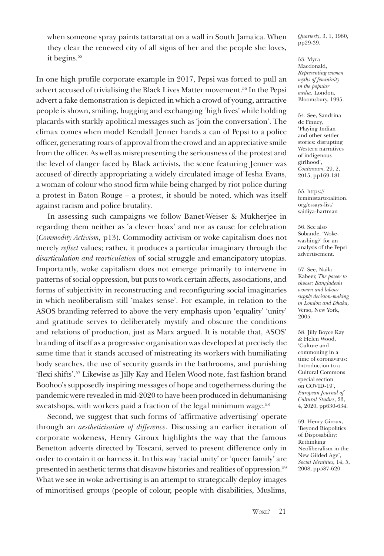when someone spray paints tattarattat on a wall in South Jamaica. When they clear the renewed city of all signs of her and the people she loves, it begins.<sup>55</sup>

In one high profile corporate example in 2017, Pepsi was forced to pull an advert accused of trivialising the Black Lives Matter movement.<sup>56</sup> In the Pepsi advert a fake demonstration is depicted in which a crowd of young, attractive people is shown, smiling, hugging and exchanging 'high fives' while holding placards with starkly apolitical messages such as 'join the conversation'. The climax comes when model Kendall Jenner hands a can of Pepsi to a police officer, generating roars of approval from the crowd and an appreciative smile from the officer. As well as misrepresenting the seriousness of the protest and the level of danger faced by Black activists, the scene featuring Jenner was accused of directly appropriating a widely circulated image of Iesha Evans, a woman of colour who stood firm while being charged by riot police during a protest in Baton Rouge – a protest, it should be noted, which was itself against racism and police brutality.

In assessing such campaigns we follow Banet-Weiser & Mukherjee in regarding them neither as 'a clever hoax' and nor as cause for celebration (*Commodity Activism,* p13). Commodity activism or woke capitalism does not merely *reflect* values; rather, it produces a particular imaginary through the *disarticulation and rearticulation* of social struggle and emancipatory utopias. Importantly, woke capitalism does not emerge primarily to intervene in patterns of social oppression, but puts to work certain affects, associations, and forms of subjectivity in reconstructing and reconfiguring social imaginaries in which neoliberalism still 'makes sense'. For example, in relation to the ASOS branding referred to above the very emphasis upon 'equality' 'unity' and gratitude serves to deliberately mystify and obscure the conditions and relations of production, just as Marx argued. It is notable that, ASOS' branding of itself as a progressive organisation was developed at precisely the same time that it stands accused of mistreating its workers with humiliating body searches, the use of security guards in the bathrooms, and punishing 'flexi shifts'.57 Likewise as Jilly Kay and Helen Wood note, fast fashion brand Boohoo's supposedly inspiring messages of hope and togetherness during the pandemic were revealed in mid-2020 to have been produced in dehumanising sweatshops, with workers paid a fraction of the legal minimum wage.<sup>58</sup>

Second, we suggest that such forms of 'affirmative advertising' operate through an *aestheticisation of difference*. Discussing an earlier iteration of corporate wokeness, Henry Giroux highlights the way that the famous Benetton adverts directed by Toscani, served to present difference only in order to contain it or harness it. In this way 'racial unity' or 'queer family' are presented in aesthetic terms that disavow histories and realities of oppression.59 What we see in woke advertising is an attempt to strategically deploy images of minoritised groups (people of colour, people with disabilities, Muslims,

*Quarterly*, 3, 1, 1980, pp29-39.

53. Myra Macdonald, *Representing women myths of femininity in the popular media.* London, Bloomsbury, 1995.

54. See, Sandrina de Finney, 'Playing Indian and other settler stories: disrupting Western narratives of indigenous girlhood', *Continuum*, 29, 2, 2015, pp169-181.

55. https:// [feministartcoalition.](https://feministartcoalition.org/essays-list/saidiya-hartman) org/essays-list/ saidiya-hartman

56. See also Sobande, 'Wokewashing?' for an analysis of the Pepsi advertisement.

57. See, Naila Kabeer, *The power to choose: Bangladeshi women and labour supply decision-making in London and Dhaka,*  Verso, New York, 2005.

58. Jilly Boyce Kay & Helen Wood, 'Culture and commoning in a time of coronavirus: Introduction to a Cultural Commons special section on COVID-19', *European Journal of Cultural Studies*, 23, 4, 2020, pp630-634.

59. Henry Giroux, 'Beyond Biopolitics of Disposability: Rethinking Neoliberalism in the New Gilded Age', *Social Identities*, 14, 5, 2008, pp587-620.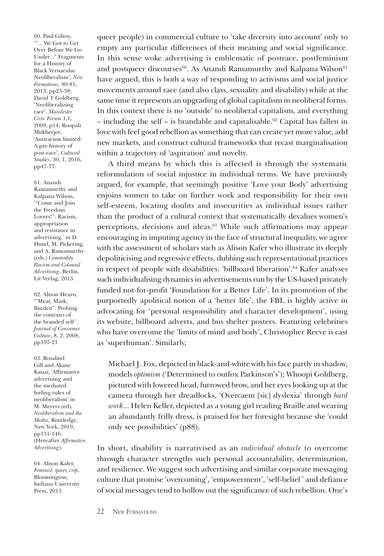60. Paul Gilroy, '"... We Got to Get Over Before We Go Under..." Fragments for a History of Black Vernacular Neoliberalism', *New Formations,* 80-81, 2013, pp23-38; David T Goldberg, 'Neoliberalizing race'. *Macalester Civic Forum* 1,1, 2009, p14; Roopali Mukherjee, 'Antiracism limited: A pre-history of post-race', *Cultural Studies*, 30, 1, 2016, pp47-77.

61. Anandi Ramamurthy and Kalpana Wilson, '"Come and Join the Freedom Lovers!": Racism, appropriation and resistance in advertising,' in D. Hund, M. Pickering, and A. Ramamurthy (eds.) *Commodity Racism and Colonial Advertising*, Berlin, Lit Verlag, 2013.

62. Alison Hearn, '"Meat, Mask, Burden": Probing the contours of the branded self '. *Journal of Consumer Culture*, 8, 2, 2008, pp197-21

63. Rosalind Gill and Akane Kanai, 'Affirmative advertising and the mediated feeling rules of neoliberalism' in M. Meyers (ed), *Neoliberalism and the Media*, Routledge, New York, 2019, pp131-146. (Hereafter *Affirmative Advertising*)*.*

64. Alison Kafer, *Feminist, queer, crip*, Bloomington, Indiana University Press, 2013.

queer people) in commercial culture to 'take diversity into account' only to empty any particular differences of their meaning and social significance. In this sense woke advertising is emblematic of postrace, postfeminism and postqueer discourses<sup>60</sup>. As Anandi Ramamurthy and Kalpana Wilson<sup>61</sup> have argued, this is both a way of responding to activisms and social justice movements around race (and also class, sexuality and disability) while at the same time it represents an upgrading of global capitalism in neoliberal forms. In this context there is no 'outside' to neoliberal capitalism, and everything – including the self – is brandable and capitalisable.<sup>62</sup> Capital has fallen in love with feel good rebellion as something that can create yet more value, add new markets, and construct cultural frameworks that recast marginalisation within a trajectory of 'aspiration' and novelty.

A third means by which this is affected is through the systematic reformulation of social injustice in individual terms. We have previously argued, for example, that seemingly positive 'Love your Body' advertising enjoins women to take on further work and responsibility for their own self-esteem, locating doubts and insecurities as individual issues rather than the product of a cultural context that systematically devalues women's perceptions, decisions and ideas.63 While such affirmations may appear encouraging in imputing agency in the face of structural inequality, we agree with the assessment of scholars such as Alison Kafer who illustrate its deeply depoliticising and regressive effects, dubbing such representational practices in respect of people with disabilities: 'billboard liberation'.64 Kafer analyses such individualising dynamics in advertisements run by the US-based privately funded not-for-profit 'Foundation for a Better Life'. In its promotion of the purportedly apolitical notion of a 'better life', the FBL is highly active in advocating for 'personal responsibility and character development', using its website, billboard adverts, and bus shelter posters. Featuring celebrities who have overcome the 'limits of mind and body', Christopher Reeve is cast as 'superhuman'. Similarly,

Michael J. Fox, depicted in black-and-white with his face partly in shadow, models *optimism* ('Determined to outfox Parkinson's'); Whoopi Goldberg, pictured with lowered head, furrowed brow, and her eyes looking up at the camera through her dreadlocks, 'Overcaem [sic] dyslexia' through *hard work*... Helen Keller, depicted as a young girl reading Braille and wearing an abundantly frilly dress, is praised for her foresight because she 'could only see possibilities' (p88).

In short, disability is narrativised as an *individual obstacle* to overcome through character strengths such personal accountability, determination, and resilience. We suggest such advertising and similar corporate messaging culture that promise 'overcoming', 'empowerment', 'self-belief ' and defiance of social messages tend to hollow out the significance of such rebellion. One's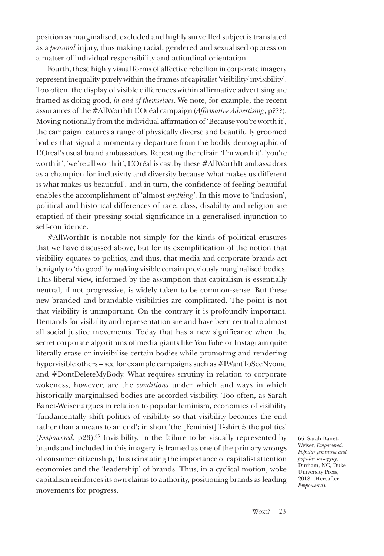position as marginalised, excluded and highly surveilled subject is translated as a *personal* injury, thus making racial, gendered and sexualised oppression a matter of individual responsibility and attitudinal orientation.

Fourth, these highly visual forms of affective rebellion in corporate imagery represent inequality purely within the frames of capitalist 'visibility/ invisibility'. Too often, the display of visible differences within affirmative advertising are framed as doing good, *in and of themselves*. We note, for example, the recent assurances of the #AllWorthIt L'Oréal campaign (*Affirmative Advertising*, p???). Moving notionally from the individual affirmation of 'Because you're worth it', the campaign features a range of physically diverse and beautifully groomed bodies that signal a momentary departure from the bodily demographic of L'Oreal's usual brand ambassadors. Repeating the refrain 'I'm worth it', 'you're worth it', 'we're all worth it', L'Oréal is cast by these #AllWorthIt ambassadors as a champion for inclusivity and diversity because 'what makes us different is what makes us beautiful', and in turn, the confidence of feeling beautiful enables the accomplishment of 'almost *anything'*. In this move to 'inclusion', political and historical differences of race, class, disability and religion are emptied of their pressing social significance in a generalised injunction to self-confidence.

#AllWorthIt is notable not simply for the kinds of political erasures that we have discussed above, but for its exemplification of the notion that visibility equates to politics, and thus, that media and corporate brands act benignly to 'do good' by making visible certain previously marginalised bodies. This liberal view, informed by the assumption that capitalism is essentially neutral, if not progressive, is widely taken to be common-sense. But these new branded and brandable visibilities are complicated. The point is not that visibility is unimportant. On the contrary it is profoundly important. Demands for visibility and representation are and have been central to almost all social justice movements. Today that has a new significance when the secret corporate algorithms of media giants like YouTube or Instagram quite literally erase or invisibilise certain bodies while promoting and rendering hypervisible others – see for example campaigns such as #IWantToSeeNyome and #DontDeleteMyBody. What requires scrutiny in relation to corporate wokeness, however, are the *conditions* under which and ways in which historically marginalised bodies are accorded visibility. Too often, as Sarah Banet-Weiser argues in relation to popular feminism, economies of visibility 'fundamentally shift politics of visibility so that visibility becomes the end rather than a means to an end'; in short 'the [Feminist] T-shirt *is* the politics' (*Empowered*, p23).65 Invisibility, in the failure to be visually represented by brands and included in this imagery, is framed as one of the primary wrongs of consumer citizenship, thus reinstating the importance of capitalist attention economies and the 'leadership' of brands. Thus, in a cyclical motion, woke capitalism reinforces its own claims to authority, positioning brands as leading movements for progress.

65. Sarah Banet-Weiser, *Empowered: Popular feminism and popular misogyny*, Durham, NC, Duke University Press, 2018. (Hereafter *Empowered*).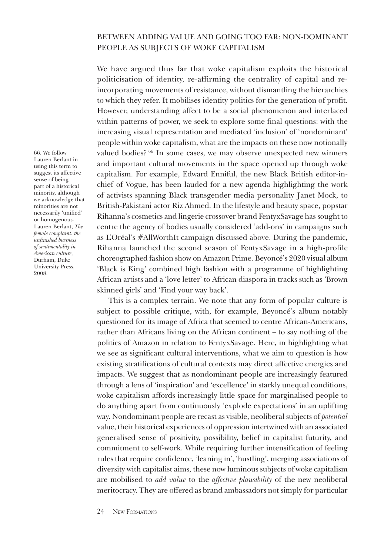# BETWEEN ADDING VALUE AND GOING TOO FAR: NON-DOMINANT PEOPLE AS SUBJECTS OF WOKE CAPITALISM

We have argued thus far that woke capitalism exploits the historical politicisation of identity, re-affirming the centrality of capital and reincorporating movements of resistance, without dismantling the hierarchies to which they refer. It mobilises identity politics for the generation of profit. However, understanding affect to be a social phenomenon and interlaced within patterns of power, we seek to explore some final questions: with the increasing visual representation and mediated 'inclusion' of 'nondominant' people within woke capitalism, what are the impacts on these now notionally valued bodies? 66 In some cases, we may observe unexpected new winners and important cultural movements in the space opened up through woke capitalism. For example, Edward Enniful, the new Black British editor-inchief of Vogue, has been lauded for a new agenda highlighting the work of activists spanning Black transgender media personality Janet Mock, to British-Pakistani actor Riz Ahmed. In the lifestyle and beauty space, popstar Rihanna's cosmetics and lingerie crossover brand FentyxSavage has sought to centre the agency of bodies usually considered 'add-ons' in campaigns such as L'Oréal's #AllWorthIt campaign discussed above. During the pandemic, Rihanna launched the second season of FentyxSavage in a high-profile choreographed fashion show on Amazon Prime. Beyoncé's 2020 visual album 'Black is King' combined high fashion with a programme of highlighting African artists and a 'love letter' to African diaspora in tracks such as 'Brown skinned girls' and 'Find your way back'.

This is a complex terrain. We note that any form of popular culture is subject to possible critique, with, for example, Beyoncé's album notably questioned for its image of Africa that seemed to centre African-Americans, rather than Africans living on the African continent – to say nothing of the politics of Amazon in relation to FentyxSavage. Here, in highlighting what we see as significant cultural interventions, what we aim to question is how existing stratifications of cultural contexts may direct affective energies and impacts. We suggest that as nondominant people are increasingly featured through a lens of 'inspiration' and 'excellence' in starkly unequal conditions, woke capitalism affords increasingly little space for marginalised people to do anything apart from continuously 'explode expectations' in an uplifting way. Nondominant people are recast as visible, neoliberal subjects of *potential* value, their historical experiences of oppression intertwined with an associated generalised sense of positivity, possibility, belief in capitalist futurity, and commitment to self-work. While requiring further intensification of feeling rules that require confidence, 'leaning in', 'hustling', merging associations of diversity with capitalist aims, these now luminous subjects of woke capitalism are mobilised to *add value* to the *affective plausibility* of the new neoliberal meritocracy. They are offered as brand ambassadors not simply for particular

66. We follow Lauren Berlant in using this term to suggest its affective sense of being part of a historical minority, although we acknowledge that minorities are not necessarily 'unified' or homogenous. Lauren Berlant, *The female complaint: the unfinished business of sentimentality in American culture,* Durham, Duke University Press, 2008.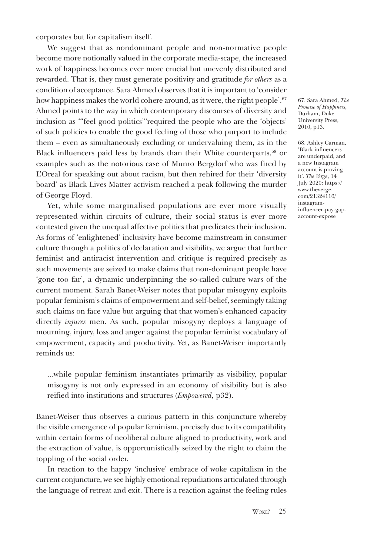corporates but for capitalism itself.

We suggest that as nondominant people and non-normative people become more notionally valued in the corporate media-scape, the increased work of happiness becomes ever more crucial but unevenly distributed and rewarded. That is, they must generate positivity and gratitude *for others* as a condition of acceptance. Sara Ahmed observes that it is important to 'consider how happiness makes the world cohere around, as it were, the right people'.<sup>67</sup> Ahmed points to the way in which contemporary discourses of diversity and inclusion as '"feel good politics"'required the people who are the 'objects' of such policies to enable the good feeling of those who purport to include them – even as simultaneously excluding or undervaluing them, as in the Black influencers paid less by brands than their White counterparts,<sup>68</sup> or examples such as the notorious case of Munro Bergdorf who was fired by L'Oreal for speaking out about racism, but then rehired for their 'diversity board' as Black Lives Matter activism reached a peak following the murder of George Floyd.

Yet, while some marginalised populations are ever more visually represented within circuits of culture, their social status is ever more contested given the unequal affective politics that predicates their inclusion. As forms of 'enlightened' inclusivity have become mainstream in consumer culture through a politics of declaration and visibility, we argue that further feminist and antiracist intervention and critique is required precisely as such movements are seized to make claims that non-dominant people have 'gone too far', a dynamic underpinning the so-called culture wars of the current moment. Sarah Banet-Weiser notes that popular misogyny exploits popular feminism's claims of empowerment and self-belief, seemingly taking such claims on face value but arguing that that women's enhanced capacity directly *injures* men. As such, popular misogyny deploys a language of mourning, injury, loss and anger against the popular feminist vocabulary of empowerment, capacity and productivity. Yet, as Banet-Weiser importantly reminds us:

...while popular feminism instantiates primarily as visibility, popular misogyny is not only expressed in an economy of visibility but is also reified into institutions and structures (*Empowered,* p32).

Banet-Weiser thus observes a curious pattern in this conjuncture whereby the visible emergence of popular feminism, precisely due to its compatibility within certain forms of neoliberal culture aligned to productivity, work and the extraction of value, is opportunistically seized by the right to claim the toppling of the social order.

In reaction to the happy 'inclusive' embrace of woke capitalism in the current conjuncture, we see highly emotional repudiations articulated through the language of retreat and exit. There is a reaction against the feeling rules

67. Sara Ahmed, *The Promise of Happiness,*  Durham, Duke University Press, 2010, p13.

68. Ashley Carman, 'Black influencers are underpaid, and a new Instagram account is proving it'. *The Verge*, 14 July 2020: https:// www.theverge. com/21324116/ instagram[influencer-pay-gap](https://www.theverge.com/21324116/instagram-influencer-pay-gap-account-expose)account-expose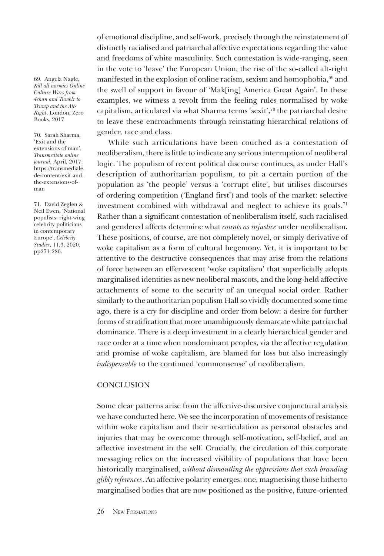69. Angela Nagle, *Kill all normies Online Culture Wars from 4chan and Tumblr to Trump and the Alt-Right*, London, Zero Books, 2017.

70. Sarah Sharma, 'Exit and the extensions of man', *Transmediale online journal,* April, 2017. [https://transmediale.](https://archive.transmediale.de/content/exit-and-the-extensions-of-man) de/content/exit-andthe-extensions-ofman

71. David Zeglen & Neil Ewen, 'National populists: right-wing celebrity politicians in contemporary Europe', *Celebrity Studies*, 11,3, 2020, pp271-286.

of emotional discipline, and self-work, precisely through the reinstatement of distinctly racialised and patriarchal affective expectations regarding the value and freedoms of white masculinity. Such contestation is wide-ranging, seen in the vote to 'leave' the European Union, the rise of the so-called alt-right manifested in the explosion of online racism, sexism and homophobia, <sup>69</sup> and the swell of support in favour of 'Mak[ing] America Great Again'. In these examples, we witness a revolt from the feeling rules normalised by woke capitalism, articulated via what Sharma terms 'sexit',70 the patriarchal desire to leave these encroachments through reinstating hierarchical relations of gender, race and class.

While such articulations have been couched as a contestation of neoliberalism, there is little to indicate any serious interruption of neoliberal logic. The populism of recent political discourse continues, as under Hall's description of authoritarian populism, to pit a certain portion of the population as 'the people' versus a 'corrupt elite', but utilises discourses of ordering competition ('England first') and tools of the market: selective investment combined with withdrawal and neglect to achieve its goals.71 Rather than a significant contestation of neoliberalism itself, such racialised and gendered affects determine what *counts as injustice* under neoliberalism. These positions, of course, are not completely novel, or simply derivative of woke capitalism as a form of cultural hegemony. Yet, it is important to be attentive to the destructive consequences that may arise from the relations of force between an effervescent 'woke capitalism' that superficially adopts marginalised identities as new neoliberal mascots, and the long-held affective attachments of some to the security of an unequal social order. Rather similarly to the authoritarian populism Hall so vividly documented some time ago, there is a cry for discipline and order from below: a desire for further forms of stratification that more unambiguously demarcate white patriarchal dominance. There is a deep investment in a clearly hierarchical gender and race order at a time when nondominant peoples, via the affective regulation and promise of woke capitalism, are blamed for loss but also increasingly *indispensable* to the continued 'commonsense' of neoliberalism.

#### **CONCLUSION**

Some clear patterns arise from the affective-discursive conjunctural analysis we have conducted here. We see the incorporation of movements of resistance within woke capitalism and their re-articulation as personal obstacles and injuries that may be overcome through self-motivation, self-belief, and an affective investment in the self. Crucially, the circulation of this corporate messaging relies on the increased visibility of populations that have been historically marginalised, *without dismantling the oppressions that such branding glibly references*. An affective polarity emerges: one, magnetising those hitherto marginalised bodies that are now positioned as the positive, future-oriented